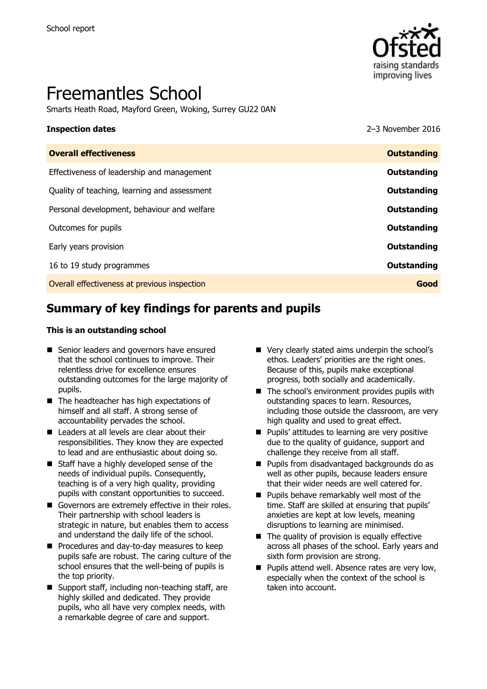

# Freemantles School

Smarts Heath Road, Mayford Green, Woking, Surrey GU22 0AN

# **Inspection dates** 2016 **Overall effectiveness Outstanding** Effectiveness of leadership and management **Outstanding** Quality of teaching, learning and assessment **Outstanding** Personal development, behaviour and welfare **COUTSTANDING COUTSTANDING Outstanding** Outcomes for pupils **Outstanding** Early years provision **Outstanding** 16 to 19 study programmes **Outstanding**

Overall effectiveness at previous inspection **Good**

# **Summary of key findings for parents and pupils**

#### **This is an outstanding school**

- Senior leaders and governors have ensured that the school continues to improve. Their relentless drive for excellence ensures outstanding outcomes for the large majority of pupils.
- The headteacher has high expectations of himself and all staff. A strong sense of accountability pervades the school.
- Leaders at all levels are clear about their responsibilities. They know they are expected to lead and are enthusiastic about doing so.
- Staff have a highly developed sense of the needs of individual pupils. Consequently, teaching is of a very high quality, providing pupils with constant opportunities to succeed.
- Governors are extremely effective in their roles. Their partnership with school leaders is strategic in nature, but enables them to access and understand the daily life of the school.
- Procedures and day-to-day measures to keep pupils safe are robust. The caring culture of the school ensures that the well-being of pupils is the top priority.
- Support staff, including non-teaching staff, are highly skilled and dedicated. They provide pupils, who all have very complex needs, with a remarkable degree of care and support.
- Very clearly stated aims underpin the school's ethos. Leaders' priorities are the right ones. Because of this, pupils make exceptional progress, both socially and academically.
- $\blacksquare$  The school's environment provides pupils with outstanding spaces to learn. Resources, including those outside the classroom, are very high quality and used to great effect.
- **Pupils' attitudes to learning are very positive** due to the quality of guidance, support and challenge they receive from all staff.
- Pupils from disadvantaged backgrounds do as well as other pupils, because leaders ensure that their wider needs are well catered for.
- **Pupils behave remarkably well most of the** time. Staff are skilled at ensuring that pupils' anxieties are kept at low levels, meaning disruptions to learning are minimised.
- $\blacksquare$  The quality of provision is equally effective across all phases of the school. Early years and sixth form provision are strong.
- **Pupils attend well. Absence rates are very low,** especially when the context of the school is taken into account.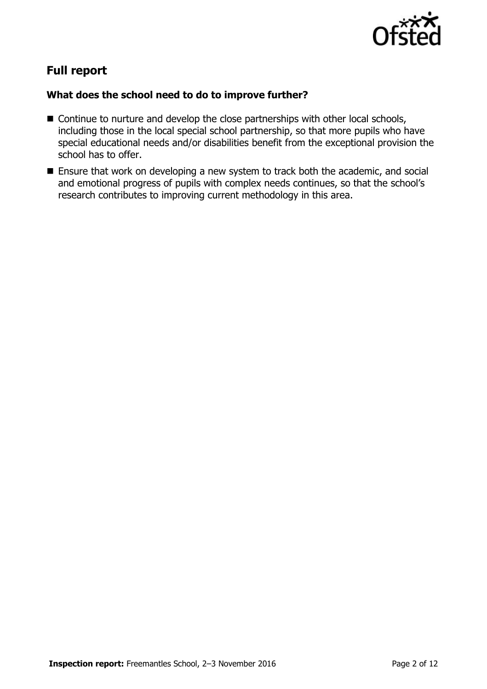

# **Full report**

### **What does the school need to do to improve further?**

- Continue to nurture and develop the close partnerships with other local schools, including those in the local special school partnership, so that more pupils who have special educational needs and/or disabilities benefit from the exceptional provision the school has to offer.
- Ensure that work on developing a new system to track both the academic, and social and emotional progress of pupils with complex needs continues, so that the school's research contributes to improving current methodology in this area.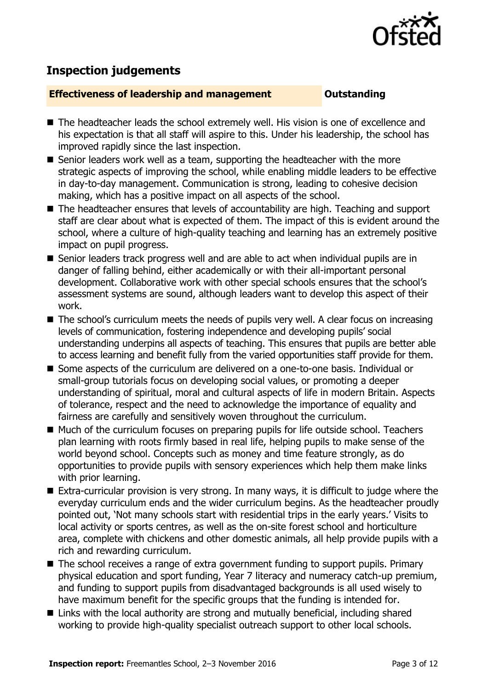

## **Inspection judgements**

#### **Effectiveness of leadership and management Cultum Outstanding**

- The headteacher leads the school extremely well. His vision is one of excellence and his expectation is that all staff will aspire to this. Under his leadership, the school has improved rapidly since the last inspection.
- Senior leaders work well as a team, supporting the headteacher with the more strategic aspects of improving the school, while enabling middle leaders to be effective in day-to-day management. Communication is strong, leading to cohesive decision making, which has a positive impact on all aspects of the school.
- The headteacher ensures that levels of accountability are high. Teaching and support staff are clear about what is expected of them. The impact of this is evident around the school, where a culture of high-quality teaching and learning has an extremely positive impact on pupil progress.
- Senior leaders track progress well and are able to act when individual pupils are in danger of falling behind, either academically or with their all-important personal development. Collaborative work with other special schools ensures that the school's assessment systems are sound, although leaders want to develop this aspect of their work.
- The school's curriculum meets the needs of pupils very well. A clear focus on increasing levels of communication, fostering independence and developing pupils' social understanding underpins all aspects of teaching. This ensures that pupils are better able to access learning and benefit fully from the varied opportunities staff provide for them.
- Some aspects of the curriculum are delivered on a one-to-one basis. Individual or small-group tutorials focus on developing social values, or promoting a deeper understanding of spiritual, moral and cultural aspects of life in modern Britain. Aspects of tolerance, respect and the need to acknowledge the importance of equality and fairness are carefully and sensitively woven throughout the curriculum.
- Much of the curriculum focuses on preparing pupils for life outside school. Teachers plan learning with roots firmly based in real life, helping pupils to make sense of the world beyond school. Concepts such as money and time feature strongly, as do opportunities to provide pupils with sensory experiences which help them make links with prior learning.
- Extra-curricular provision is very strong. In many ways, it is difficult to judge where the everyday curriculum ends and the wider curriculum begins. As the headteacher proudly pointed out, 'Not many schools start with residential trips in the early years.' Visits to local activity or sports centres, as well as the on-site forest school and horticulture area, complete with chickens and other domestic animals, all help provide pupils with a rich and rewarding curriculum.
- The school receives a range of extra government funding to support pupils. Primary physical education and sport funding, Year 7 literacy and numeracy catch-up premium, and funding to support pupils from disadvantaged backgrounds is all used wisely to have maximum benefit for the specific groups that the funding is intended for.
- Links with the local authority are strong and mutually beneficial, including shared working to provide high-quality specialist outreach support to other local schools.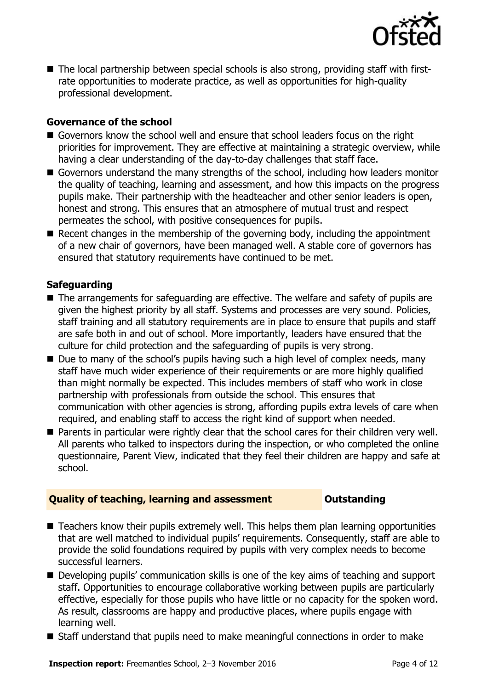

■ The local partnership between special schools is also strong, providing staff with firstrate opportunities to moderate practice, as well as opportunities for high-quality professional development.

#### **Governance of the school**

- Governors know the school well and ensure that school leaders focus on the right priorities for improvement. They are effective at maintaining a strategic overview, while having a clear understanding of the day-to-day challenges that staff face.
- Governors understand the many strengths of the school, including how leaders monitor the quality of teaching, learning and assessment, and how this impacts on the progress pupils make. Their partnership with the headteacher and other senior leaders is open, honest and strong. This ensures that an atmosphere of mutual trust and respect permeates the school, with positive consequences for pupils.
- Recent changes in the membership of the governing body, including the appointment of a new chair of governors, have been managed well. A stable core of governors has ensured that statutory requirements have continued to be met.

#### **Safeguarding**

- The arrangements for safeguarding are effective. The welfare and safety of pupils are given the highest priority by all staff. Systems and processes are very sound. Policies, staff training and all statutory requirements are in place to ensure that pupils and staff are safe both in and out of school. More importantly, leaders have ensured that the culture for child protection and the safeguarding of pupils is very strong.
- Due to many of the school's pupils having such a high level of complex needs, many staff have much wider experience of their requirements or are more highly qualified than might normally be expected. This includes members of staff who work in close partnership with professionals from outside the school. This ensures that communication with other agencies is strong, affording pupils extra levels of care when required, and enabling staff to access the right kind of support when needed.
- **Parents in particular were rightly clear that the school cares for their children very well.** All parents who talked to inspectors during the inspection, or who completed the online questionnaire, Parent View, indicated that they feel their children are happy and safe at school.

#### **Quality of teaching, learning and assessment Outstanding**

- Teachers know their pupils extremely well. This helps them plan learning opportunities that are well matched to individual pupils' requirements. Consequently, staff are able to provide the solid foundations required by pupils with very complex needs to become successful learners.
- Developing pupils' communication skills is one of the key aims of teaching and support staff. Opportunities to encourage collaborative working between pupils are particularly effective, especially for those pupils who have little or no capacity for the spoken word. As result, classrooms are happy and productive places, where pupils engage with learning well.
- Staff understand that pupils need to make meaningful connections in order to make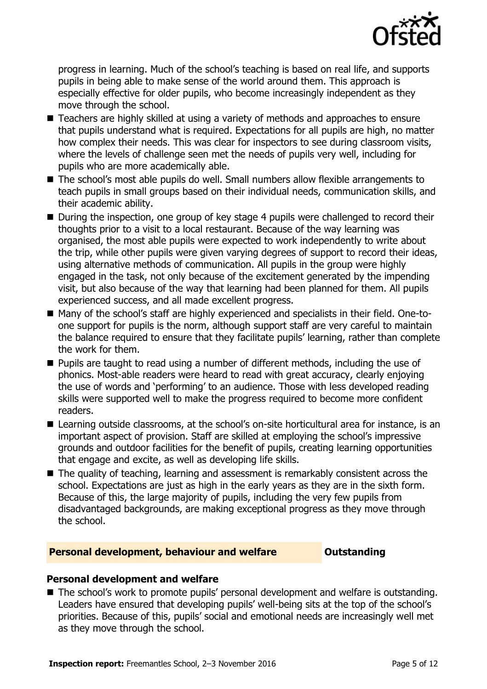

progress in learning. Much of the school's teaching is based on real life, and supports pupils in being able to make sense of the world around them. This approach is especially effective for older pupils, who become increasingly independent as they move through the school.

- Teachers are highly skilled at using a variety of methods and approaches to ensure that pupils understand what is required. Expectations for all pupils are high, no matter how complex their needs. This was clear for inspectors to see during classroom visits, where the levels of challenge seen met the needs of pupils very well, including for pupils who are more academically able.
- The school's most able pupils do well. Small numbers allow flexible arrangements to teach pupils in small groups based on their individual needs, communication skills, and their academic ability.
- During the inspection, one group of key stage 4 pupils were challenged to record their thoughts prior to a visit to a local restaurant. Because of the way learning was organised, the most able pupils were expected to work independently to write about the trip, while other pupils were given varying degrees of support to record their ideas, using alternative methods of communication. All pupils in the group were highly engaged in the task, not only because of the excitement generated by the impending visit, but also because of the way that learning had been planned for them. All pupils experienced success, and all made excellent progress.
- Many of the school's staff are highly experienced and specialists in their field. One-toone support for pupils is the norm, although support staff are very careful to maintain the balance required to ensure that they facilitate pupils' learning, rather than complete the work for them.
- **Pupils are taught to read using a number of different methods, including the use of** phonics. Most-able readers were heard to read with great accuracy, clearly enjoying the use of words and 'performing' to an audience. Those with less developed reading skills were supported well to make the progress required to become more confident readers.
- Learning outside classrooms, at the school's on-site horticultural area for instance, is an important aspect of provision. Staff are skilled at employing the school's impressive grounds and outdoor facilities for the benefit of pupils, creating learning opportunities that engage and excite, as well as developing life skills.
- The quality of teaching, learning and assessment is remarkably consistent across the school. Expectations are just as high in the early years as they are in the sixth form. Because of this, the large majority of pupils, including the very few pupils from disadvantaged backgrounds, are making exceptional progress as they move through the school.

### **Personal development, behaviour and welfare <b>COULTS** Outstanding

#### **Personal development and welfare**

The school's work to promote pupils' personal development and welfare is outstanding. Leaders have ensured that developing pupils' well-being sits at the top of the school's priorities. Because of this, pupils' social and emotional needs are increasingly well met as they move through the school.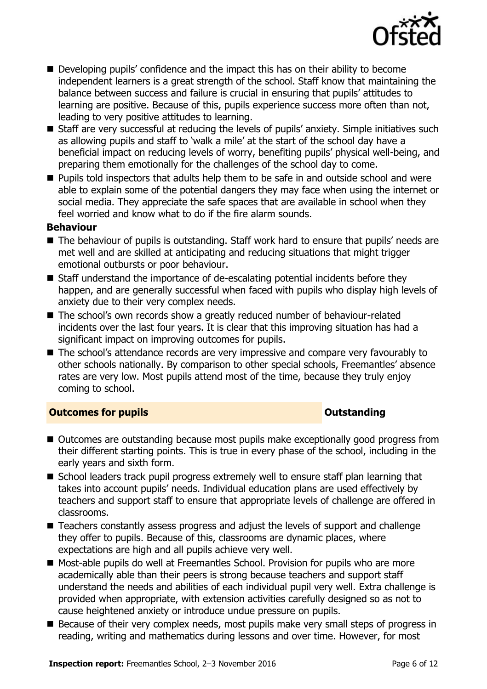

- Developing pupils' confidence and the impact this has on their ability to become independent learners is a great strength of the school. Staff know that maintaining the balance between success and failure is crucial in ensuring that pupils' attitudes to learning are positive. Because of this, pupils experience success more often than not, leading to very positive attitudes to learning.
- Staff are very successful at reducing the levels of pupils' anxiety. Simple initiatives such as allowing pupils and staff to 'walk a mile' at the start of the school day have a beneficial impact on reducing levels of worry, benefiting pupils' physical well-being, and preparing them emotionally for the challenges of the school day to come.
- **Pupils told inspectors that adults help them to be safe in and outside school and were** able to explain some of the potential dangers they may face when using the internet or social media. They appreciate the safe spaces that are available in school when they feel worried and know what to do if the fire alarm sounds.

### **Behaviour**

- The behaviour of pupils is outstanding. Staff work hard to ensure that pupils' needs are met well and are skilled at anticipating and reducing situations that might trigger emotional outbursts or poor behaviour.
- Staff understand the importance of de-escalating potential incidents before they happen, and are generally successful when faced with pupils who display high levels of anxiety due to their very complex needs.
- The school's own records show a greatly reduced number of behaviour-related incidents over the last four years. It is clear that this improving situation has had a significant impact on improving outcomes for pupils.
- The school's attendance records are very impressive and compare very favourably to other schools nationally. By comparison to other special schools, Freemantles' absence rates are very low. Most pupils attend most of the time, because they truly enjoy coming to school.

### **Outcomes for pupils Outstanding**

- Outcomes are outstanding because most pupils make exceptionally good progress from their different starting points. This is true in every phase of the school, including in the early years and sixth form.
- School leaders track pupil progress extremely well to ensure staff plan learning that takes into account pupils' needs. Individual education plans are used effectively by teachers and support staff to ensure that appropriate levels of challenge are offered in classrooms.
- Teachers constantly assess progress and adjust the levels of support and challenge they offer to pupils. Because of this, classrooms are dynamic places, where expectations are high and all pupils achieve very well.
- Most-able pupils do well at Freemantles School. Provision for pupils who are more academically able than their peers is strong because teachers and support staff understand the needs and abilities of each individual pupil very well. Extra challenge is provided when appropriate, with extension activities carefully designed so as not to cause heightened anxiety or introduce undue pressure on pupils.
- Because of their very complex needs, most pupils make very small steps of progress in reading, writing and mathematics during lessons and over time. However, for most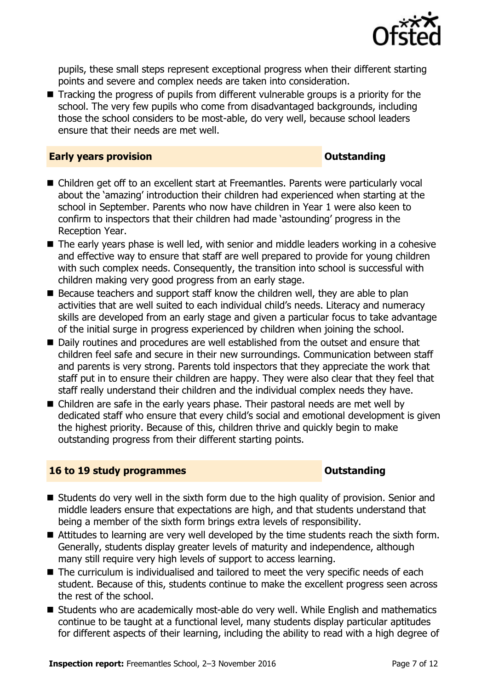

pupils, these small steps represent exceptional progress when their different starting points and severe and complex needs are taken into consideration.

■ Tracking the progress of pupils from different vulnerable groups is a priority for the school. The very few pupils who come from disadvantaged backgrounds, including those the school considers to be most-able, do very well, because school leaders ensure that their needs are met well.

#### **Early years provision CONSTANDING TO A RESEARCH CONSTANDING TO A RESEARCH CONSTANDING TO A RESEARCH CONSTANDING TO A RESEARCH CONSTANDING TO A RESEARCH CONSTANDING TO A RESEARCH CONSTANDING TO A RESEARCH CONSTANDING TO**

- Children get off to an excellent start at Freemantles. Parents were particularly vocal about the 'amazing' introduction their children had experienced when starting at the school in September. Parents who now have children in Year 1 were also keen to confirm to inspectors that their children had made 'astounding' progress in the Reception Year.
- The early years phase is well led, with senior and middle leaders working in a cohesive and effective way to ensure that staff are well prepared to provide for young children with such complex needs. Consequently, the transition into school is successful with children making very good progress from an early stage.
- Because teachers and support staff know the children well, they are able to plan activities that are well suited to each individual child's needs. Literacy and numeracy skills are developed from an early stage and given a particular focus to take advantage of the initial surge in progress experienced by children when joining the school.
- Daily routines and procedures are well established from the outset and ensure that children feel safe and secure in their new surroundings. Communication between staff and parents is very strong. Parents told inspectors that they appreciate the work that staff put in to ensure their children are happy. They were also clear that they feel that staff really understand their children and the individual complex needs they have.
- Children are safe in the early years phase. Their pastoral needs are met well by dedicated staff who ensure that every child's social and emotional development is given the highest priority. Because of this, children thrive and quickly begin to make outstanding progress from their different starting points.

#### **16 to 19 study programmes Distances Outstanding**

- Students do very well in the sixth form due to the high quality of provision. Senior and middle leaders ensure that expectations are high, and that students understand that being a member of the sixth form brings extra levels of responsibility.
- Attitudes to learning are very well developed by the time students reach the sixth form. Generally, students display greater levels of maturity and independence, although many still require very high levels of support to access learning.
- The curriculum is individualised and tailored to meet the very specific needs of each student. Because of this, students continue to make the excellent progress seen across the rest of the school.
- Students who are academically most-able do very well. While English and mathematics continue to be taught at a functional level, many students display particular aptitudes for different aspects of their learning, including the ability to read with a high degree of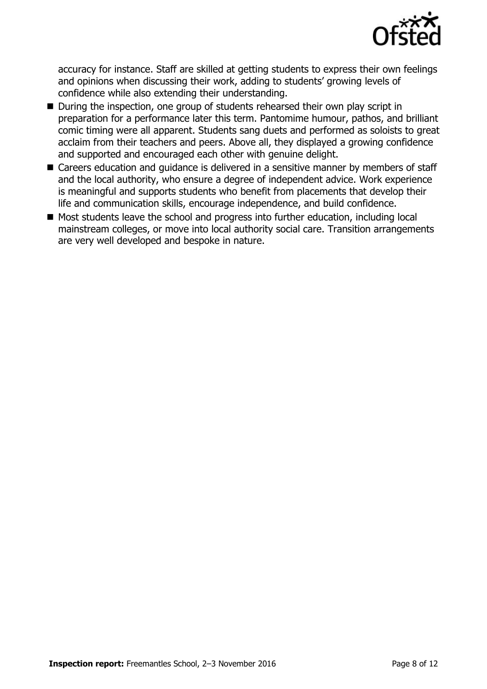

accuracy for instance. Staff are skilled at getting students to express their own feelings and opinions when discussing their work, adding to students' growing levels of confidence while also extending their understanding.

- During the inspection, one group of students rehearsed their own play script in preparation for a performance later this term. Pantomime humour, pathos, and brilliant comic timing were all apparent. Students sang duets and performed as soloists to great acclaim from their teachers and peers. Above all, they displayed a growing confidence and supported and encouraged each other with genuine delight.
- Careers education and quidance is delivered in a sensitive manner by members of staff and the local authority, who ensure a degree of independent advice. Work experience is meaningful and supports students who benefit from placements that develop their life and communication skills, encourage independence, and build confidence.
- Most students leave the school and progress into further education, including local mainstream colleges, or move into local authority social care. Transition arrangements are very well developed and bespoke in nature.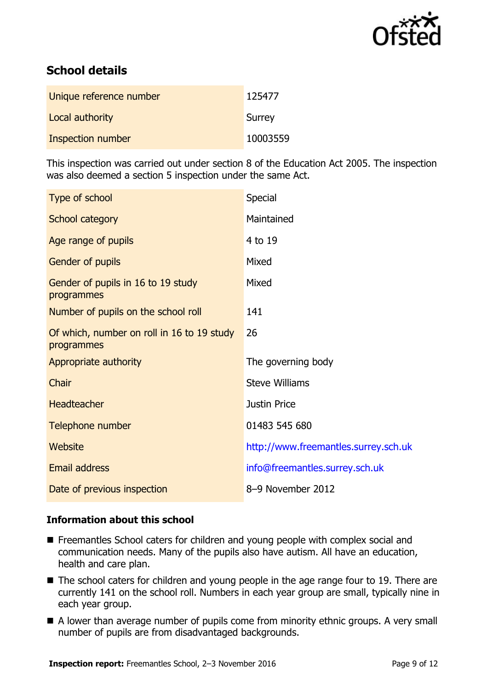

# **School details**

| Unique reference number | 125477   |
|-------------------------|----------|
| Local authority         | Surrey   |
| Inspection number       | 10003559 |

This inspection was carried out under section 8 of the Education Act 2005. The inspection was also deemed a section 5 inspection under the same Act.

| Type of school                                           | <b>Special</b>                       |
|----------------------------------------------------------|--------------------------------------|
| School category                                          | Maintained                           |
| Age range of pupils                                      | 4 to 19                              |
| Gender of pupils                                         | Mixed                                |
| Gender of pupils in 16 to 19 study<br>programmes         | Mixed                                |
| Number of pupils on the school roll                      | 141                                  |
| Of which, number on roll in 16 to 19 study<br>programmes | 26                                   |
| Appropriate authority                                    | The governing body                   |
| Chair                                                    | <b>Steve Williams</b>                |
| <b>Headteacher</b>                                       | <b>Justin Price</b>                  |
| Telephone number                                         | 01483 545 680                        |
| Website                                                  | http://www.freemantles.surrey.sch.uk |
| <b>Email address</b>                                     | info@freemantles.surrey.sch.uk       |
| Date of previous inspection                              | 8-9 November 2012                    |

### **Information about this school**

- Freemantles School caters for children and young people with complex social and communication needs. Many of the pupils also have autism. All have an education, health and care plan.
- The school caters for children and young people in the age range four to 19. There are currently 141 on the school roll. Numbers in each year group are small, typically nine in each year group.
- A lower than average number of pupils come from minority ethnic groups. A very small number of pupils are from disadvantaged backgrounds.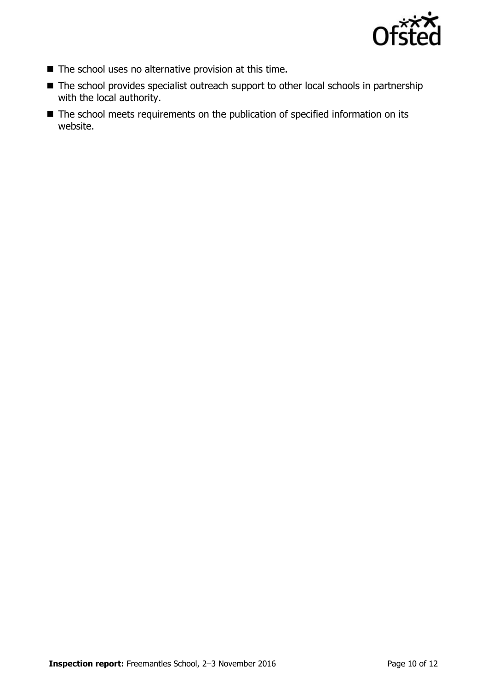

- The school uses no alternative provision at this time.
- The school provides specialist outreach support to other local schools in partnership with the local authority.
- The school meets requirements on the publication of specified information on its website.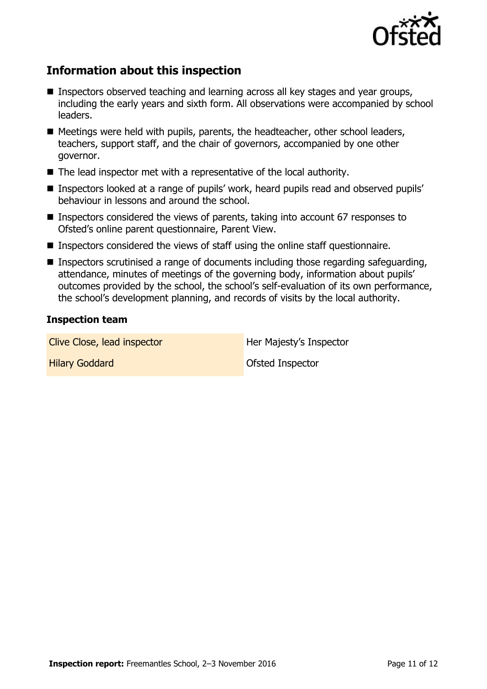

## **Information about this inspection**

- Inspectors observed teaching and learning across all key stages and year groups, including the early years and sixth form. All observations were accompanied by school leaders.
- Meetings were held with pupils, parents, the headteacher, other school leaders, teachers, support staff, and the chair of governors, accompanied by one other governor.
- The lead inspector met with a representative of the local authority.
- Inspectors looked at a range of pupils' work, heard pupils read and observed pupils' behaviour in lessons and around the school.
- Inspectors considered the views of parents, taking into account 67 responses to Ofsted's online parent questionnaire, Parent View.
- Inspectors considered the views of staff using the online staff questionnaire.
- Inspectors scrutinised a range of documents including those regarding safeguarding, attendance, minutes of meetings of the governing body, information about pupils' outcomes provided by the school, the school's self-evaluation of its own performance, the school's development planning, and records of visits by the local authority.

#### **Inspection team**

Clive Close, lead inspector **Her Majesty's Inspector** 

**Hilary Goddard Community Community** Construction Construction Construction Construction Construction Construction Construction Construction Construction Construction Construction Construction Construction Construction Con